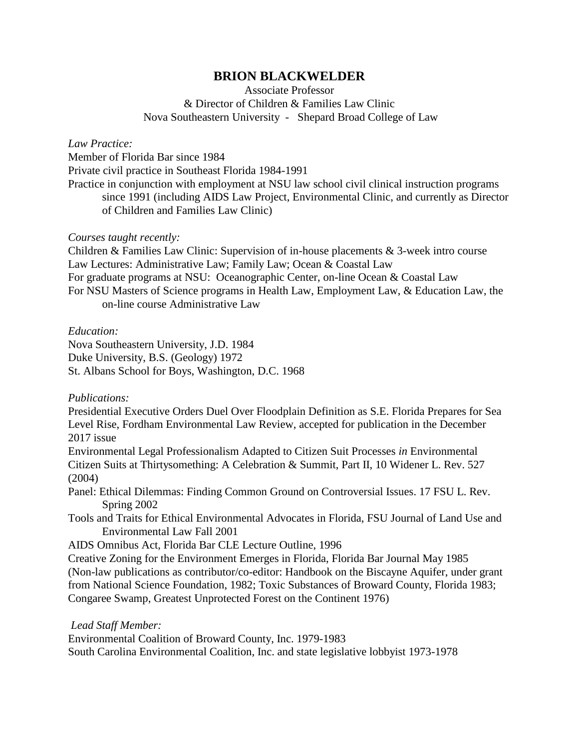# **BRION BLACKWELDER**

Associate Professor & Director of Children & Families Law Clinic Nova Southeastern University - Shepard Broad College of Law

## *Law Practice:*

Member of Florida Bar since 1984

Private civil practice in Southeast Florida 1984-1991

Practice in conjunction with employment at NSU law school civil clinical instruction programs since 1991 (including AIDS Law Project, Environmental Clinic, and currently as Director of Children and Families Law Clinic)

## *Courses taught recently:*

Children & Families Law Clinic: Supervision of in-house placements & 3-week intro course Law Lectures: Administrative Law; Family Law; Ocean & Coastal Law For graduate programs at NSU: Oceanographic Center, on-line Ocean & Coastal Law For NSU Masters of Science programs in Health Law, Employment Law, & Education Law, the on-line course Administrative Law

## *Education:*

Nova Southeastern University, J.D. 1984 Duke University, B.S. (Geology) 1972 St. Albans School for Boys, Washington, D.C. 1968

*Publications:*

Presidential Executive Orders Duel Over Floodplain Definition as S.E. Florida Prepares for Sea Level Rise, Fordham Environmental Law Review, accepted for publication in the December 2017 issue

Environmental Legal Professionalism Adapted to Citizen Suit Processes *in* Environmental Citizen Suits at Thirtysomething: A Celebration & Summit, Part II, 10 Widener L. Rev. 527 (2004)

Panel: Ethical Dilemmas: Finding Common Ground on Controversial Issues. 17 FSU L. Rev. Spring 2002

Tools and Traits for Ethical Environmental Advocates in Florida, FSU Journal of Land Use and Environmental Law Fall 2001

AIDS Omnibus Act, Florida Bar CLE Lecture Outline, 1996

Creative Zoning for the Environment Emerges in Florida, Florida Bar Journal May 1985 (Non-law publications as contributor/co-editor: Handbook on the Biscayne Aquifer, under grant from National Science Foundation, 1982; Toxic Substances of Broward County, Florida 1983; Congaree Swamp, Greatest Unprotected Forest on the Continent 1976)

*Lead Staff Member:*

Environmental Coalition of Broward County, Inc. 1979-1983

South Carolina Environmental Coalition, Inc. and state legislative lobbyist 1973-1978